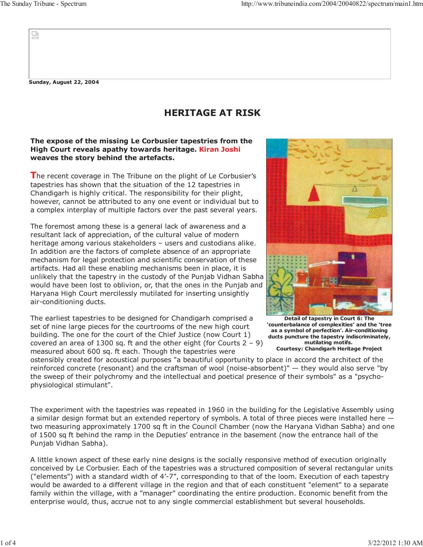W

**Sunday, August 22, 2004**

## **HERITAGE AT RISK**

## **The expose of the missing Le Corbusier tapestries from the High Court reveals apathy towards heritage. Kiran Joshi weaves the story behind the artefacts.**

**T**he recent coverage in The Tribune on the plight of Le Corbusier's tapestries has shown that the situation of the 12 tapestries in Chandigarh is highly critical. The responsibility for their plight, however, cannot be attributed to any one event or individual but to a complex interplay of multiple factors over the past several years.

The foremost among these is a general lack of awareness and a resultant lack of appreciation, of the cultural value of modern heritage among various stakeholders – users and custodians alike. In addition are the factors of complete absence of an appropriate mechanism for legal protection and scientific conservation of these artifacts. Had all these enabling mechanisms been in place, it is unlikely that the tapestry in the custody of the Punjab Vidhan Sabha would have been lost to oblivion, or, that the ones in the Punjab and Haryana High Court mercilessly mutilated for inserting unsightly air-conditioning ducts.

The earliest tapestries to be designed for Chandigarh comprised a set of nine large pieces for the courtrooms of the new high court building. The one for the court of the Chief Justice (now Court 1) covered an area of 1300 sq. ft and the other eight (for Courts  $2 - 9$ ) measured about 600 sq. ft each. Though the tapestries were



**Detail of tapestry in Court 6: The 'counterbalance of complexities' and the 'tree as a symbol of perfection'. Air-conditioning ducts puncture the tapestry indiscriminately, mutilating motifs. Courtesy: Chandigarh Heritage Project**

ostensibly created for acoustical purposes "a beautiful opportunity to place in accord the architect of the reinforced concrete (resonant) and the craftsman of wool (noise-absorbent)" — they would also serve "by the sweep of their polychromy and the intellectual and poetical presence of their symbols" as a "psychophysiological stimulant".

The experiment with the tapestries was repeated in 1960 in the building for the Legislative Assembly using a similar design format but an extended repertory of symbols. A total of three pieces were installed here two measuring approximately 1700 sq ft in the Council Chamber (now the Haryana Vidhan Sabha) and one of 1500 sq ft behind the ramp in the Deputies' entrance in the basement (now the entrance hall of the Punjab Vidhan Sabha).

A little known aspect of these early nine designs is the socially responsive method of execution originally conceived by Le Corbusier. Each of the tapestries was a structured composition of several rectangular units ("elements") with a standard width of 4'-7", corresponding to that of the loom. Execution of each tapestry would be awarded to a different village in the region and that of each constituent "element" to a separate family within the village, with a "manager" coordinating the entire production. Economic benefit from the enterprise would, thus, accrue not to any single commercial establishment but several households.